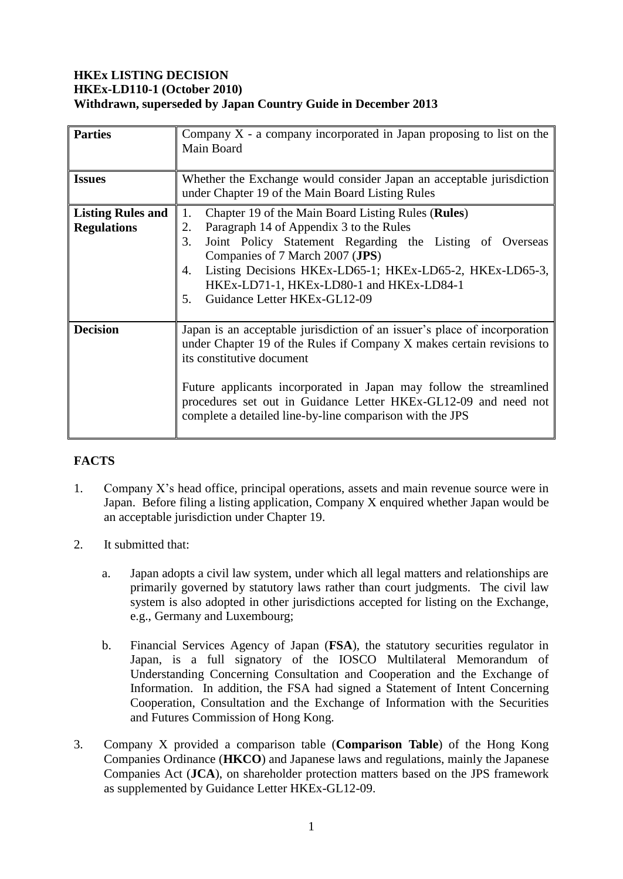# **HKEx LISTING DECISION HKEx-LD110-1 (October 2010) Withdrawn, superseded by Japan Country Guide in December 2013**

| <b>Parties</b>                                 | Company $X$ - a company incorporated in Japan proposing to list on the<br>Main Board                                                                                                                                                                                                                                                                                                 |
|------------------------------------------------|--------------------------------------------------------------------------------------------------------------------------------------------------------------------------------------------------------------------------------------------------------------------------------------------------------------------------------------------------------------------------------------|
| <b>Issues</b>                                  | Whether the Exchange would consider Japan an acceptable jurisdiction<br>under Chapter 19 of the Main Board Listing Rules                                                                                                                                                                                                                                                             |
| <b>Listing Rules and</b><br><b>Regulations</b> | Chapter 19 of the Main Board Listing Rules (Rules)<br>1.<br>Paragraph 14 of Appendix 3 to the Rules<br>2.<br>Joint Policy Statement Regarding the Listing of Overseas<br>3.<br>Companies of 7 March 2007 (JPS)<br>Listing Decisions HKEx-LD65-1; HKEx-LD65-2, HKEx-LD65-3,<br>4.<br>HKEx-LD71-1, HKEx-LD80-1 and HKEx-LD84-1<br>Guidance Letter HKEx-GL12-09<br>5.                   |
| <b>Decision</b>                                | Japan is an acceptable jurisdiction of an issuer's place of incorporation<br>under Chapter 19 of the Rules if Company X makes certain revisions to<br>its constitutive document<br>Future applicants incorporated in Japan may follow the streamlined<br>procedures set out in Guidance Letter HKEx-GL12-09 and need not<br>complete a detailed line-by-line comparison with the JPS |

## **FACTS**

- 1. Company X's head office, principal operations, assets and main revenue source were in Japan. Before filing a listing application, Company X enquired whether Japan would be an acceptable jurisdiction under Chapter 19.
- 2. It submitted that:
	- a. Japan adopts a civil law system, under which all legal matters and relationships are primarily governed by statutory laws rather than court judgments. The civil law system is also adopted in other jurisdictions accepted for listing on the Exchange, e.g., Germany and Luxembourg;
	- b. Financial Services Agency of Japan (**FSA**), the statutory securities regulator in Japan, is a full signatory of the IOSCO Multilateral Memorandum of Understanding Concerning Consultation and Cooperation and the Exchange of Information. In addition, the FSA had signed a Statement of Intent Concerning Cooperation, Consultation and the Exchange of Information with the Securities and Futures Commission of Hong Kong.
- 3. Company X provided a comparison table (**Comparison Table**) of the Hong Kong Companies Ordinance (**HKCO**) and Japanese laws and regulations, mainly the Japanese Companies Act (**JCA**), on shareholder protection matters based on the JPS framework as supplemented by Guidance Letter HKEx-GL12-09.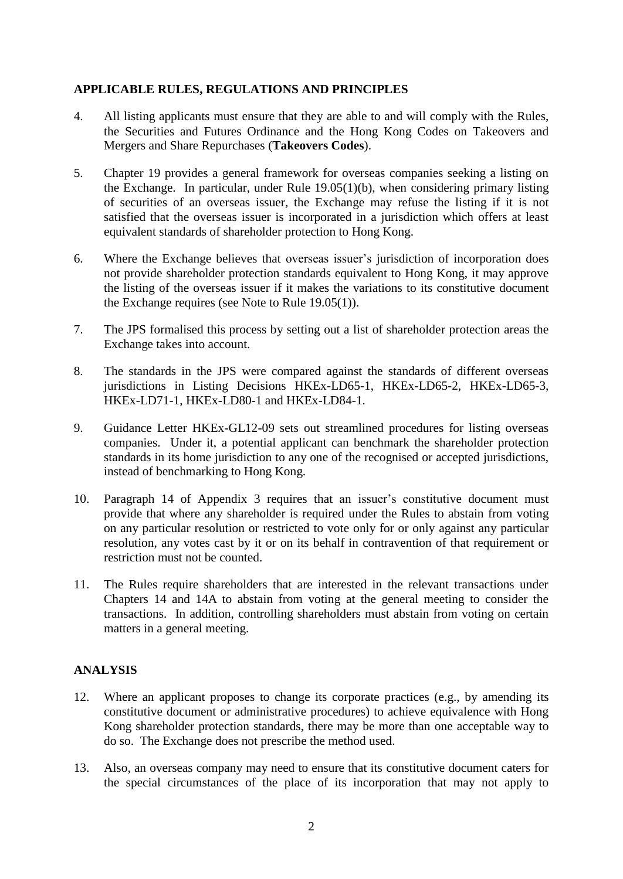## **APPLICABLE RULES, REGULATIONS AND PRINCIPLES**

- 4. All listing applicants must ensure that they are able to and will comply with the Rules, the Securities and Futures Ordinance and the Hong Kong Codes on Takeovers and Mergers and Share Repurchases (**Takeovers Codes**).
- 5. Chapter 19 provides a general framework for overseas companies seeking a listing on the Exchange. In particular, under Rule 19.05(1)(b), when considering primary listing of securities of an overseas issuer, the Exchange may refuse the listing if it is not satisfied that the overseas issuer is incorporated in a jurisdiction which offers at least equivalent standards of shareholder protection to Hong Kong.
- 6. Where the Exchange believes that overseas issuer's jurisdiction of incorporation does not provide shareholder protection standards equivalent to Hong Kong, it may approve the listing of the overseas issuer if it makes the variations to its constitutive document the Exchange requires (see Note to Rule 19.05(1)).
- 7. The JPS formalised this process by setting out a list of shareholder protection areas the Exchange takes into account.
- 8. The standards in the JPS were compared against the standards of different overseas jurisdictions in Listing Decisions HKEx-LD65-1, HKEx-LD65-2, HKEx-LD65-3, HKEx-LD71-1, HKEx-LD80-1 and HKEx-LD84-1.
- 9. Guidance Letter HKEx-GL12-09 sets out streamlined procedures for listing overseas companies. Under it, a potential applicant can benchmark the shareholder protection standards in its home jurisdiction to any one of the recognised or accepted jurisdictions, instead of benchmarking to Hong Kong.
- 10. Paragraph 14 of Appendix 3 requires that an issuer's constitutive document must provide that where any shareholder is required under the Rules to abstain from voting on any particular resolution or restricted to vote only for or only against any particular resolution, any votes cast by it or on its behalf in contravention of that requirement or restriction must not be counted.
- 11. The Rules require shareholders that are interested in the relevant transactions under Chapters 14 and 14A to abstain from voting at the general meeting to consider the transactions. In addition, controlling shareholders must abstain from voting on certain matters in a general meeting.

## **ANALYSIS**

- 12. Where an applicant proposes to change its corporate practices (e.g., by amending its constitutive document or administrative procedures) to achieve equivalence with Hong Kong shareholder protection standards, there may be more than one acceptable way to do so. The Exchange does not prescribe the method used.
- 13. Also, an overseas company may need to ensure that its constitutive document caters for the special circumstances of the place of its incorporation that may not apply to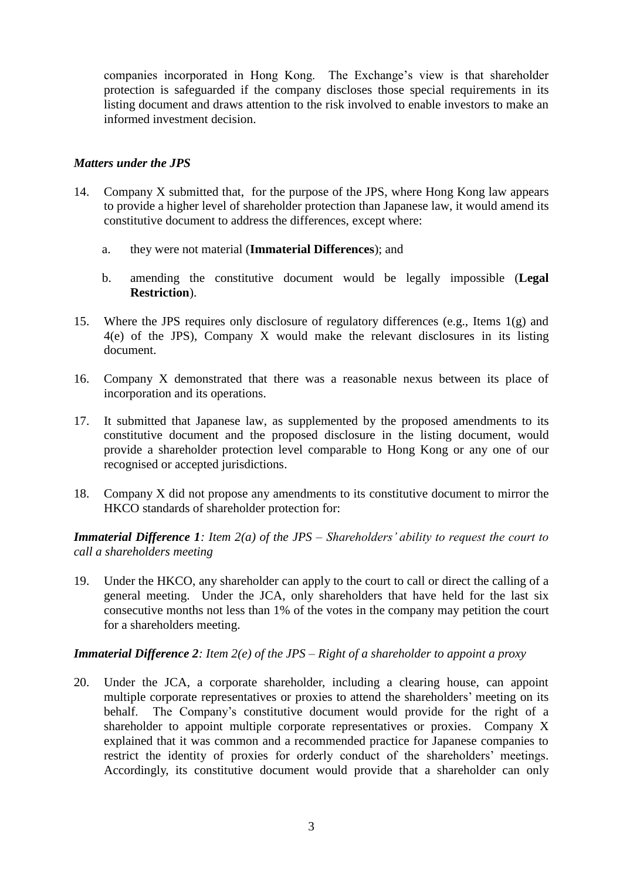companies incorporated in Hong Kong. The Exchange's view is that shareholder protection is safeguarded if the company discloses those special requirements in its listing document and draws attention to the risk involved to enable investors to make an informed investment decision.

### *Matters under the JPS*

- 14. Company X submitted that, for the purpose of the JPS, where Hong Kong law appears to provide a higher level of shareholder protection than Japanese law, it would amend its constitutive document to address the differences, except where:
	- a. they were not material (**Immaterial Differences**); and
	- b. amending the constitutive document would be legally impossible (**Legal Restriction**).
- 15. Where the JPS requires only disclosure of regulatory differences (e.g., Items 1(g) and 4(e) of the JPS), Company X would make the relevant disclosures in its listing document.
- 16. Company X demonstrated that there was a reasonable nexus between its place of incorporation and its operations.
- 17. It submitted that Japanese law, as supplemented by the proposed amendments to its constitutive document and the proposed disclosure in the listing document, would provide a shareholder protection level comparable to Hong Kong or any one of our recognised or accepted jurisdictions.
- 18. Company X did not propose any amendments to its constitutive document to mirror the HKCO standards of shareholder protection for:

*Immaterial Difference 1: Item 2(a) of the JPS – Shareholders' ability to request the court to call a shareholders meeting*

19. Under the HKCO, any shareholder can apply to the court to call or direct the calling of a general meeting. Under the JCA, only shareholders that have held for the last six consecutive months not less than 1% of the votes in the company may petition the court for a shareholders meeting.

#### *Immaterial Difference 2: Item 2(e) of the JPS – Right of a shareholder to appoint a proxy*

20. Under the JCA, a corporate shareholder, including a clearing house, can appoint multiple corporate representatives or proxies to attend the shareholders' meeting on its behalf. The Company's constitutive document would provide for the right of a shareholder to appoint multiple corporate representatives or proxies. Company X explained that it was common and a recommended practice for Japanese companies to restrict the identity of proxies for orderly conduct of the shareholders' meetings. Accordingly, its constitutive document would provide that a shareholder can only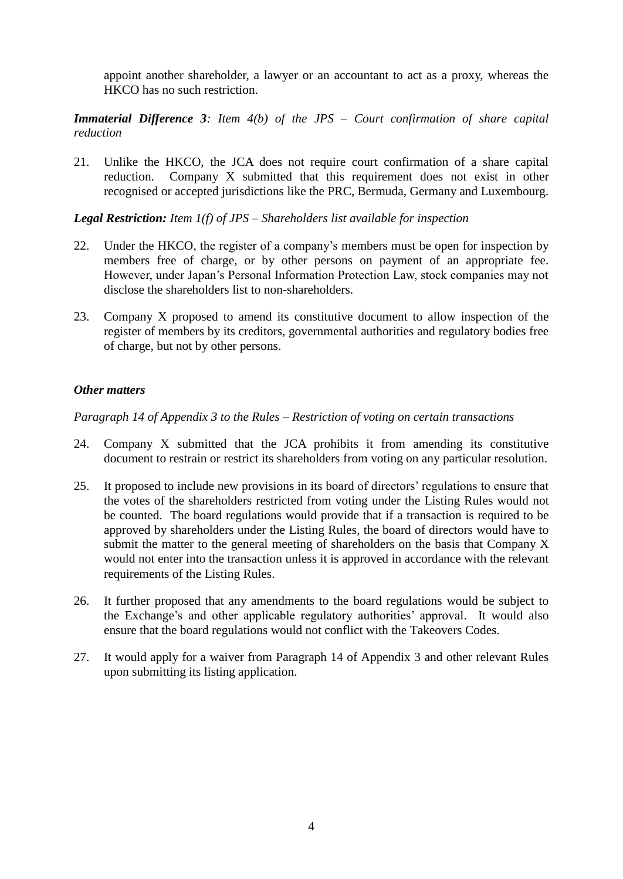appoint another shareholder, a lawyer or an accountant to act as a proxy, whereas the HKCO has no such restriction.

### *Immaterial Difference 3: Item 4(b) of the JPS – Court confirmation of share capital reduction*

21. Unlike the HKCO, the JCA does not require court confirmation of a share capital reduction. Company X submitted that this requirement does not exist in other recognised or accepted jurisdictions like the PRC, Bermuda, Germany and Luxembourg.

*Legal Restriction: Item 1(f) of JPS – Shareholders list available for inspection*

- 22. Under the HKCO, the register of a company's members must be open for inspection by members free of charge, or by other persons on payment of an appropriate fee. However, under Japan's Personal Information Protection Law, stock companies may not disclose the shareholders list to non-shareholders.
- 23. Company X proposed to amend its constitutive document to allow inspection of the register of members by its creditors, governmental authorities and regulatory bodies free of charge, but not by other persons.

### *Other matters*

*Paragraph 14 of Appendix 3 to the Rules – Restriction of voting on certain transactions*

- 24. Company X submitted that the JCA prohibits it from amending its constitutive document to restrain or restrict its shareholders from voting on any particular resolution.
- 25. It proposed to include new provisions in its board of directors' regulations to ensure that the votes of the shareholders restricted from voting under the Listing Rules would not be counted. The board regulations would provide that if a transaction is required to be approved by shareholders under the Listing Rules, the board of directors would have to submit the matter to the general meeting of shareholders on the basis that Company X would not enter into the transaction unless it is approved in accordance with the relevant requirements of the Listing Rules.
- 26. It further proposed that any amendments to the board regulations would be subject to the Exchange's and other applicable regulatory authorities' approval. It would also ensure that the board regulations would not conflict with the Takeovers Codes.
- 27. It would apply for a waiver from Paragraph 14 of Appendix 3 and other relevant Rules upon submitting its listing application.